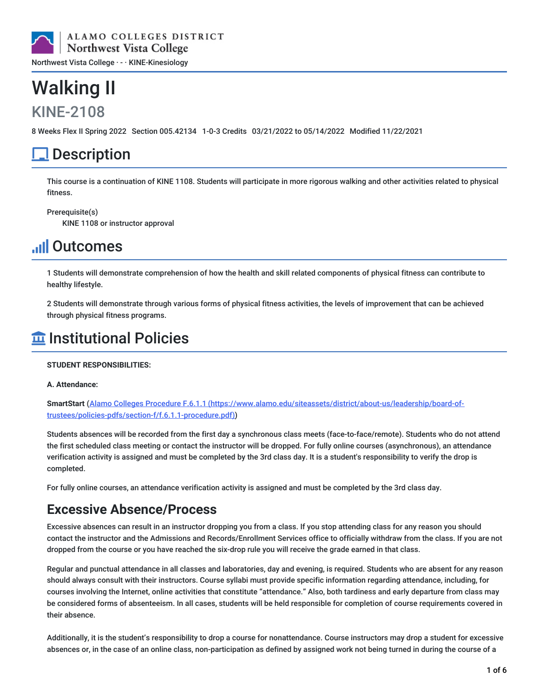

# Walking II

### KINE-2108

8 Weeks Flex II Spring 2022 Section 005.42134 1-0-3 Credits 03/21/2022 to 05/14/2022 Modified 11/22/2021

# **Description**

This course is a continuation of KINE 1108. Students will participate in more rigorous walking and other activities related to physical fitness.

Prerequisite(s)

KINE 1108 or instructor approval

# **Juli Outcomes**

1 Students will demonstrate comprehension of how the health and skill related components of physical fitness can contribute to healthy lifestyle.

2 Students will demonstrate through various forms of physical fitness activities, the levels of improvement that can be achieved through physical fitness programs.

### $\widehat{\mathbf{m}}$  Institutional Policies

#### **STUDENT RESPONSIBILITIES:**

#### **A. Attendance:**

**SmartStart** (Alamo Colleges Procedure F.6.1.1 [\(https://www.alamo.edu/siteassets/district/about-us/leadership/board-of](https://www.alamo.edu/siteassets/district/about-us/leadership/board-of-trustees/policies-pdfs/section-f/f.6.1.1-procedure.pdf)trustees/policies-pdfs/section-f/f.6.1.1-procedure.pdf))

Students absences will be recorded from the first day a synchronous class meets (face-to-face/remote). Students who do not attend the first scheduled class meeting or contact the instructor will be dropped. For fully online courses (asynchronous), an attendance verification activity is assigned and must be completed by the 3rd class day. It is a student's responsibility to verify the drop is completed.

For fully online courses, an attendance verification activity is assigned and must be completed by the 3rd class day.

### **Excessive Absence/Process**

Excessive absences can result in an instructor dropping you from a class. If you stop attending class for any reason you should contact the instructor and the Admissions and Records/Enrollment Services office to officially withdraw from the class. If you are not dropped from the course or you have reached the six-drop rule you will receive the grade earned in that class.

Regular and punctual attendance in all classes and laboratories, day and evening, is required. Students who are absent for any reason should always consult with their instructors. Course syllabi must provide specific information regarding attendance, including, for courses involving the Internet, online activities that constitute "attendance." Also, both tardiness and early departure from class may be considered forms of absenteeism. In all cases, students will be held responsible for completion of course requirements covered in their absence.

Additionally, it is the student's responsibility to drop a course for nonattendance. Course instructors may drop a student for excessive absences or, in the case of an online class, non-participation as defined by assigned work not being turned in during the course of a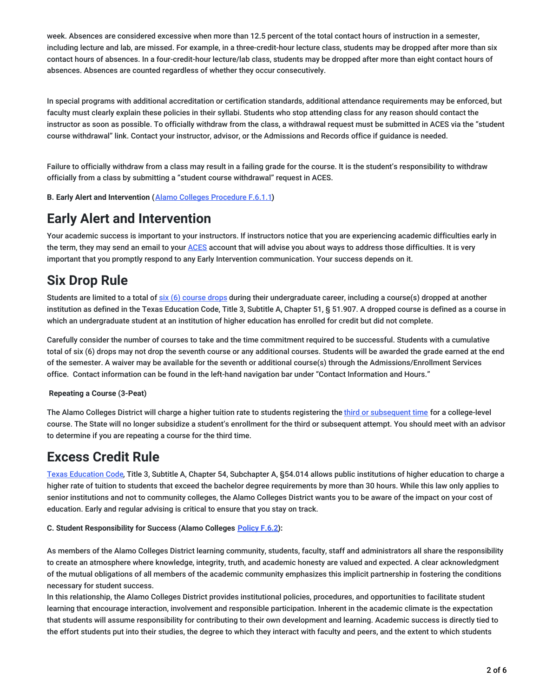week. Absences are considered excessive when more than 12.5 percent of the total contact hours of instruction in a semester, including lecture and lab, are missed. For example, in a three-credit-hour lecture class, students may be dropped after more than six contact hours of absences. In a four-credit-hour lecture/lab class, students may be dropped after more than eight contact hours of absences. Absences are counted regardless of whether they occur consecutively.

In special programs with additional accreditation or certification standards, additional attendance requirements may be enforced, but faculty must clearly explain these policies in their syllabi. Students who stop attending class for any reason should contact the instructor as soon as possible. To officially withdraw from the class, a withdrawal request must be submitted in ACES via the "student course withdrawal" link. Contact your instructor, advisor, or the Admissions and Records office if guidance is needed.

Failure to officially withdraw from a class may result in a failing grade for the course. It is the student's responsibility to withdraw officially from a class by submitting a "student course withdrawal" request in ACES.

**B. Early Alert and Intervention (**Alamo Colleges [Procedure](https://www.alamo.edu/siteassets/district/about-us/leadership/board-of-trustees/policies-pdfs/section-f/f.6.1.1-procedure.pdf) F.6.1.1**)**

### **Early Alert and Intervention**

Your academic success is important to your instructors. If instructors notice that you are experiencing academic difficulties early in the term, they may send an email to your [ACES](https://alamoaces.alamo.edu/) account that will advise you about ways to address those difficulties. It is very important that you promptly respond to any Early Intervention communication. Your success depends on it.

### **Six Drop Rule**

Students are limited to a total of six (6) [course](https://myspccatalog.alamo.edu/content.php?catoid=220&navoid=15930#Six_Course_Drop_Ruling) drops during their undergraduate career, including a course(s) dropped at another institution as defined in the Texas Education Code, Title 3, Subtitle A, Chapter 51, § 51.907. A dropped course is defined as a course in which an undergraduate student at an institution of higher education has enrolled for credit but did not complete.

Carefully consider the number of courses to take and the time commitment required to be successful. Students with a cumulative total of six (6) drops may not drop the seventh course or any additional courses. Students will be awarded the grade earned at the end of the semester. A waiver may be available for the seventh or additional course(s) through the Admissions/Enrollment Services office. Contact information can be found in the left-hand navigation bar under "Contact Information and Hours."

#### **Repeating a Course (3-Peat)**

The Alamo Colleges District will charge a higher tuition rate to students registering the third or [subsequent](https://myspccatalog.alamo.edu/content.php?catoid=220&navoid=15930#Three-Peat__Third-Attempt__Enrollment_Ruling) time for a college-level course. The State will no longer subsidize a student's enrollment for the third or subsequent attempt. You should meet with an advisor to determine if you are repeating a course for the third time.

### **Excess Credit Rule**

Texas [Education](http://www.thecb.state.tx.us/GeneralPubs/Agenda/Ag2005_10/VIE/VIEA1.pdf) Code, Title 3, Subtitle A, Chapter 54, Subchapter A, §54.014 allows public institutions of higher education to charge a higher rate of tuition to students that exceed the bachelor degree requirements by more than 30 hours. While this law only applies to senior institutions and not to community colleges, the Alamo Colleges District wants you to be aware of the impact on your cost of education. Early and regular advising is critical to ensure that you stay on track.

#### **C. Student Responsibility for Success (Alamo Colleges [Policy](https://www.alamo.edu/link/845f7dc97d0e4b3c8ed7b453f1f0c729.aspx) F.6.2):**

As members of the Alamo Colleges District learning community, students, faculty, staff and administrators all share the responsibility to create an atmosphere where knowledge, integrity, truth, and academic honesty are valued and expected. A clear acknowledgment of the mutual obligations of all members of the academic community emphasizes this implicit partnership in fostering the conditions necessary for student success.

In this relationship, the Alamo Colleges District provides institutional policies, procedures, and opportunities to facilitate student learning that encourage interaction, involvement and responsible participation. Inherent in the academic climate is the expectation that students will assume responsibility for contributing to their own development and learning. Academic success is directly tied to the effort students put into their studies, the degree to which they interact with faculty and peers, and the extent to which students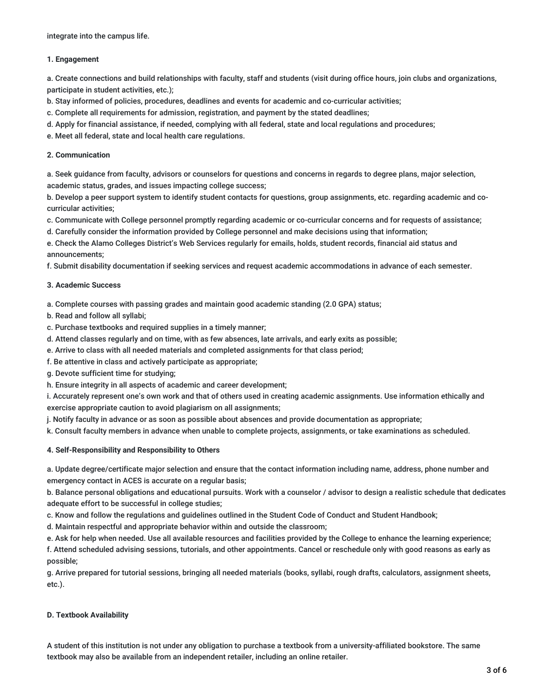integrate into the campus life.

#### **1. Engagement**

a. Create connections and build relationships with faculty, staff and students (visit during office hours, join clubs and organizations, participate in student activities, etc.);

b. Stay informed of policies, procedures, deadlines and events for academic and co-curricular activities;

c. Complete all requirements for admission, registration, and payment by the stated deadlines;

d. Apply for financial assistance, if needed, complying with all federal, state and local regulations and procedures;

e. Meet all federal, state and local health care regulations.

#### **2. Communication**

a. Seek guidance from faculty, advisors or counselors for questions and concerns in regards to degree plans, major selection, academic status, grades, and issues impacting college success;

b. Develop a peer support system to identify student contacts for questions, group assignments, etc. regarding academic and cocurricular activities;

c. Communicate with College personnel promptly regarding academic or co-curricular concerns and for requests of assistance;

d. Carefully consider the information provided by College personnel and make decisions using that information;

e. Check the Alamo Colleges District's Web Services regularly for emails, holds, student records, financial aid status and announcements;

f. Submit disability documentation if seeking services and request academic accommodations in advance of each semester.

#### **3. Academic Success**

a. Complete courses with passing grades and maintain good academic standing (2.0 GPA) status;

b. Read and follow all syllabi;

c. Purchase textbooks and required supplies in a timely manner;

- d. Attend classes regularly and on time, with as few absences, late arrivals, and early exits as possible;
- e. Arrive to class with all needed materials and completed assignments for that class period;

f. Be attentive in class and actively participate as appropriate;

g. Devote sufficient time for studying;

h. Ensure integrity in all aspects of academic and career development;

i. Accurately represent one's own work and that of others used in creating academic assignments. Use information ethically and exercise appropriate caution to avoid plagiarism on all assignments;

j. Notify faculty in advance or as soon as possible about absences and provide documentation as appropriate;

k. Consult faculty members in advance when unable to complete projects, assignments, or take examinations as scheduled.

#### **4. Self-Responsibility and Responsibility to Others**

a. Update degree/certificate major selection and ensure that the contact information including name, address, phone number and emergency contact in ACES is accurate on a regular basis;

b. Balance personal obligations and educational pursuits. Work with a counselor / advisor to design a realistic schedule that dedicates adequate effort to be successful in college studies;

c. Know and follow the regulations and guidelines outlined in the Student Code of Conduct and Student Handbook;

d. Maintain respectful and appropriate behavior within and outside the classroom;

e. Ask for help when needed. Use all available resources and facilities provided by the College to enhance the learning experience;

f. Attend scheduled advising sessions, tutorials, and other appointments. Cancel or reschedule only with good reasons as early as possible;

g. Arrive prepared for tutorial sessions, bringing all needed materials (books, syllabi, rough drafts, calculators, assignment sheets, etc.).

#### **D. Textbook Availability**

A student of this institution is not under any obligation to purchase a textbook from a university-affiliated bookstore. The same textbook may also be available from an independent retailer, including an online retailer.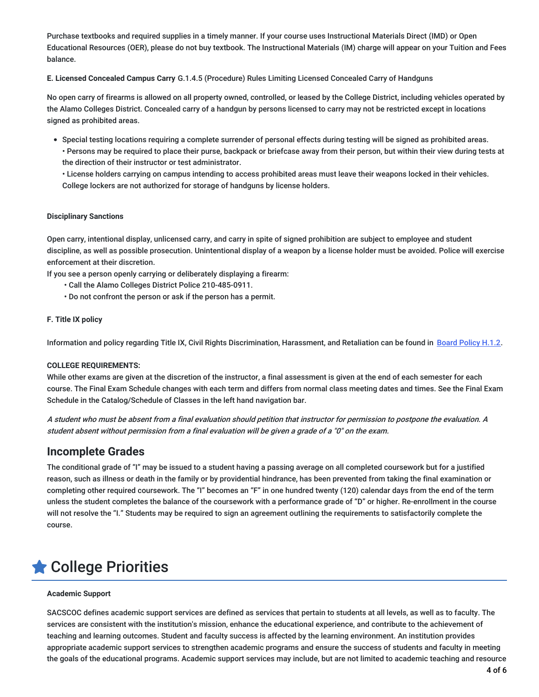Purchase textbooks and required supplies in a timely manner. If your course uses Instructional Materials Direct (IMD) or Open Educational Resources (OER), please do not buy textbook. The Instructional Materials (IM) charge will appear on your Tuition and Fees balance.

**E. Licensed Concealed Campus Carry** G.1.4.5 (Procedure) Rules Limiting Licensed Concealed Carry of Handguns

No open carry of firearms is allowed on all property owned, controlled, or leased by the College District, including vehicles operated by the Alamo Colleges District. Concealed carry of a handgun by persons licensed to carry may not be restricted except in locations signed as prohibited areas.

- Special testing locations requiring a complete surrender of personal effects during testing will be signed as prohibited areas.
	- Persons may be required to place their purse, backpack or briefcase away from their person, but within their view during tests at the direction of their instructor or test administrator.

• License holders carrying on campus intending to access prohibited areas must leave their weapons locked in their vehicles. College lockers are not authorized for storage of handguns by license holders.

#### **Disciplinary Sanctions**

Open carry, intentional display, unlicensed carry, and carry in spite of signed prohibition are subject to employee and student discipline, as well as possible prosecution. Unintentional display of a weapon by a license holder must be avoided. Police will exercise enforcement at their discretion.

If you see a person openly carrying or deliberately displaying a firearm:

- Call the Alamo Colleges District Police 210-485-0911.
- Do not confront the person or ask if the person has a permit.

#### **F. Title IX policy**

Information and policy regarding Title IX, Civil Rights Discrimination, Harassment, and Retaliation can be found in Board [Policy](https://www.alamo.edu/link/bddbd6057f27474b8207b6dbcf9741e3.aspx) H.1.2.

#### **COLLEGE REQUIREMENTS:**

While other exams are given at the discretion of the instructor, a final assessment is given at the end of each semester for each course. The Final Exam Schedule changes with each term and differs from normal class meeting dates and times. See the Final Exam Schedule in the Catalog/Schedule of Classes in the left hand navigation bar.

A student who must be absent from <sup>a</sup> final evaluation should petition that instructor for permission to postpone the evaluation. A student absent without permission from <sup>a</sup> final evaluation will be given <sup>a</sup> grade of <sup>a</sup> "0" on the exam.

#### **Incomplete Grades**

The conditional grade of "I" may be issued to a student having a passing average on all completed coursework but for a justified reason, such as illness or death in the family or by providential hindrance, has been prevented from taking the final examination or completing other required coursework. The "I" becomes an "F" in one hundred twenty (120) calendar days from the end of the term unless the student completes the balance of the coursework with a performance grade of "D" or higher. Re-enrollment in the course will not resolve the "I." Students may be required to sign an agreement outlining the requirements to satisfactorily complete the course.

# College Priorities

#### **Academic Support**

SACSCOC defines academic support services are defined as services that pertain to students at all levels, as well as to faculty. The services are consistent with the institution's mission, enhance the educational experience, and contribute to the achievement of teaching and learning outcomes. Student and faculty success is affected by the learning environment. An institution provides appropriate academic support services to strengthen academic programs and ensure the success of students and faculty in meeting the goals of the educational programs. Academic support services may include, but are not limited to academic teaching and resource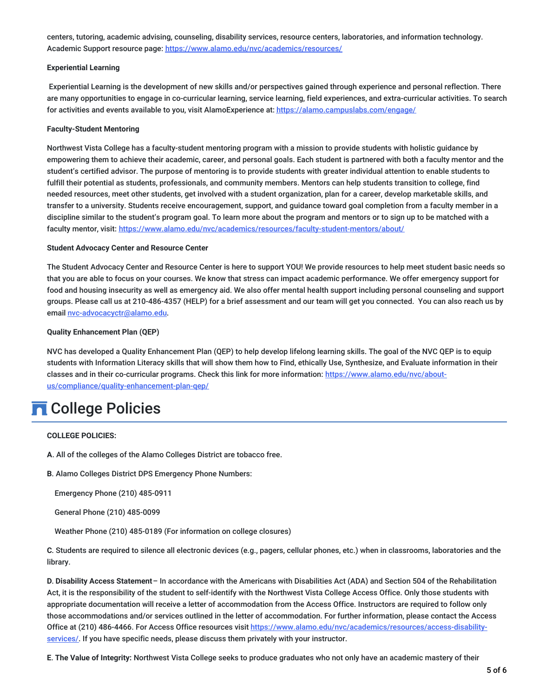centers, tutoring, academic advising, counseling, disability services, resource centers, laboratories, and information technology. Academic Support resource page: <https://www.alamo.edu/nvc/academics/resources/>

#### **Experiential Learning**

Experiential Learning is the development of new skills and/or perspectives gained through experience and personal reflection. There are many opportunities to engage in co-curricular learning, service learning, field experiences, and extra-curricular activities. To search for activities and events available to you, visit AlamoExperience at: <https://alamo.campuslabs.com/engage/>

#### **Faculty-Student Mentoring**

Northwest Vista College has a faculty-student mentoring program with a mission to provide students with holistic guidance by empowering them to achieve their academic, career, and personal goals. Each student is partnered with both a faculty mentor and the student's certified advisor. The purpose of mentoring is to provide students with greater individual attention to enable students to fulfill their potential as students, professionals, and community members. Mentors can help students transition to college, find needed resources, meet other students, get involved with a student organization, plan for a career, develop marketable skills, and transfer to a university. Students receive encouragement, support, and guidance toward goal completion from a faculty member in a discipline similar to the student's program goal. To learn more about the program and mentors or to sign up to be matched with a faculty mentor, visit: <https://www.alamo.edu/nvc/academics/resources/faculty-student-mentors/about/>

#### **Student Advocacy Center and Resource Center**

The Student Advocacy Center and Resource Center is here to support YOU! We provide resources to help meet student basic needs so that you are able to focus on your courses. We know that stress can impact academic performance. We offer emergency support for food and housing insecurity as well as emergency aid. We also offer mental health support including personal counseling and support groups. Please call us at 210-486-4357 (HELP) for a brief assessment and our team will get you connected. You can also reach us by email [nvc-advocacyctr@alamo.edu](mailto:nvc-advocacyctr@alamo.edu).

#### **Quality Enhancement Plan (QEP)**

NVC has developed a Quality Enhancement Plan (QEP) to help develop lifelong learning skills. The goal of the NVC QEP is to equip students with Information Literacy skills that will show them how to Find, ethically Use, Synthesize, and Evaluate information in their classes and in their co-curricular programs. Check this link for more information: https://www.alamo.edu/nvc/about[us/compliance/quality-enhancement-plan-qep/](https://www.alamo.edu/nvc/about-us/compliance/quality-enhancement-plan-qep/)

### **n** College Policies

#### **COLLEGE POLICIES:**

- **A**. All of the colleges of the Alamo Colleges District are tobacco free.
- **B**. Alamo Colleges District DPS Emergency Phone Numbers:

Emergency Phone (210) 485-0911

General Phone (210) 485-0099

Weather Phone (210) 485-0189 (For information on college closures)

**C**. Students are required to silence all electronic devices (e.g., pagers, cellular phones, etc.) when in classrooms, laboratories and the library.

**D**. **Disability Access Statement**– In accordance with the Americans with Disabilities Act (ADA) and Section 504 of the Rehabilitation Act, it is the responsibility of the student to self-identify with the Northwest Vista College Access Office. Only those students with appropriate documentation will receive a letter of accommodation from the Access Office. Instructors are required to follow only those accommodations and/or services outlined in the letter of accommodation. For further information, please contact the Access Office at (210) 486-4466. For Access Office resources visit [https://www.alamo.edu/nvc/academics/resources/access-disability](https://www.alamo.edu/nvc/academics/resources/access-disability-services/)services/. If you have specific needs, please discuss them privately with your instructor.

**E**. **The Value of Integrity:** Northwest Vista College seeks to produce graduates who not only have an academic mastery of their